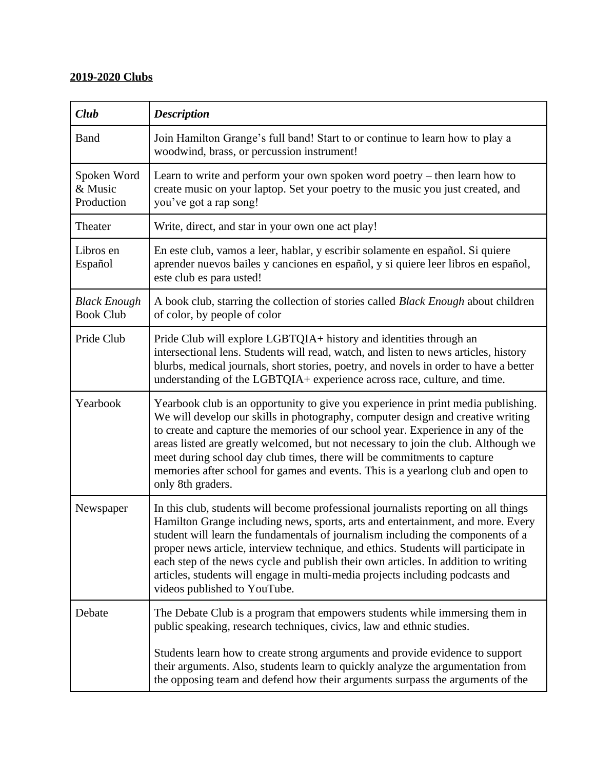## **2019-2020 Clubs**

| Club                                    | <b>Description</b>                                                                                                                                                                                                                                                                                                                                                                                                                                                                                                                                     |
|-----------------------------------------|--------------------------------------------------------------------------------------------------------------------------------------------------------------------------------------------------------------------------------------------------------------------------------------------------------------------------------------------------------------------------------------------------------------------------------------------------------------------------------------------------------------------------------------------------------|
| <b>Band</b>                             | Join Hamilton Grange's full band! Start to or continue to learn how to play a<br>woodwind, brass, or percussion instrument!                                                                                                                                                                                                                                                                                                                                                                                                                            |
| Spoken Word<br>& Music<br>Production    | Learn to write and perform your own spoken word poetry – then learn how to<br>create music on your laptop. Set your poetry to the music you just created, and<br>you've got a rap song!                                                                                                                                                                                                                                                                                                                                                                |
| Theater                                 | Write, direct, and star in your own one act play!                                                                                                                                                                                                                                                                                                                                                                                                                                                                                                      |
| Libros en<br>Español                    | En este club, vamos a leer, hablar, y escribir solamente en español. Si quiere<br>aprender nuevos bailes y canciones en español, y si quiere leer libros en español,<br>este club es para usted!                                                                                                                                                                                                                                                                                                                                                       |
| <b>Black Enough</b><br><b>Book Club</b> | A book club, starring the collection of stories called <i>Black Enough</i> about children<br>of color, by people of color                                                                                                                                                                                                                                                                                                                                                                                                                              |
| Pride Club                              | Pride Club will explore LGBTQIA+ history and identities through an<br>intersectional lens. Students will read, watch, and listen to news articles, history<br>blurbs, medical journals, short stories, poetry, and novels in order to have a better<br>understanding of the LGBTQIA+ experience across race, culture, and time.                                                                                                                                                                                                                        |
| Yearbook                                | Yearbook club is an opportunity to give you experience in print media publishing.<br>We will develop our skills in photography, computer design and creative writing<br>to create and capture the memories of our school year. Experience in any of the<br>areas listed are greatly welcomed, but not necessary to join the club. Although we<br>meet during school day club times, there will be commitments to capture<br>memories after school for games and events. This is a yearlong club and open to<br>only 8th graders.                       |
| Newspaper                               | In this club, students will become professional journalists reporting on all things<br>Hamilton Grange including news, sports, arts and entertainment, and more. Every<br>student will learn the fundamentals of journalism including the components of a<br>proper news article, interview technique, and ethics. Students will participate in<br>each step of the news cycle and publish their own articles. In addition to writing<br>articles, students will engage in multi-media projects including podcasts and<br>videos published to YouTube. |
| Debate                                  | The Debate Club is a program that empowers students while immersing them in<br>public speaking, research techniques, civics, law and ethnic studies.<br>Students learn how to create strong arguments and provide evidence to support                                                                                                                                                                                                                                                                                                                  |
|                                         | their arguments. Also, students learn to quickly analyze the argumentation from<br>the opposing team and defend how their arguments surpass the arguments of the                                                                                                                                                                                                                                                                                                                                                                                       |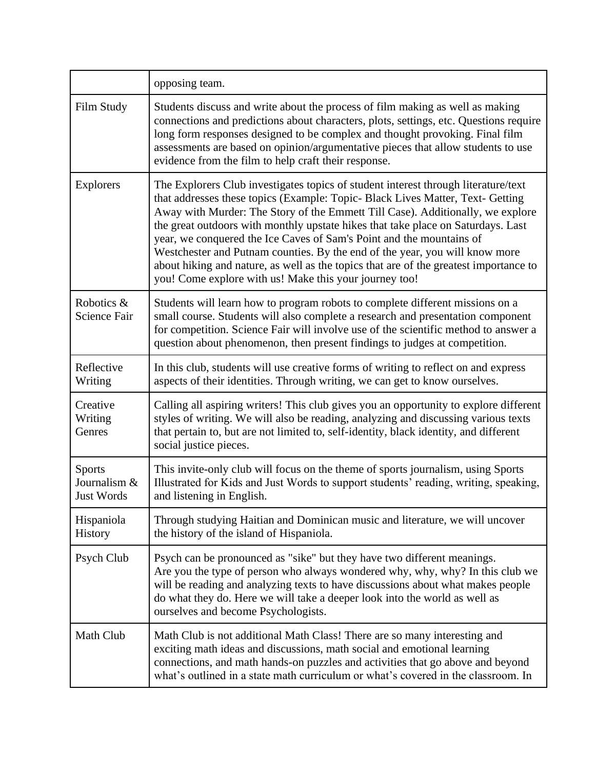|                                      | opposing team.                                                                                                                                                                                                                                                                                                                                                                                                                                                                                                                                                                                                                                       |
|--------------------------------------|------------------------------------------------------------------------------------------------------------------------------------------------------------------------------------------------------------------------------------------------------------------------------------------------------------------------------------------------------------------------------------------------------------------------------------------------------------------------------------------------------------------------------------------------------------------------------------------------------------------------------------------------------|
| Film Study                           | Students discuss and write about the process of film making as well as making<br>connections and predictions about characters, plots, settings, etc. Questions require<br>long form responses designed to be complex and thought provoking. Final film<br>assessments are based on opinion/argumentative pieces that allow students to use<br>evidence from the film to help craft their response.                                                                                                                                                                                                                                                   |
| <b>Explorers</b>                     | The Explorers Club investigates topics of student interest through literature/text<br>that addresses these topics (Example: Topic- Black Lives Matter, Text- Getting<br>Away with Murder: The Story of the Emmett Till Case). Additionally, we explore<br>the great outdoors with monthly upstate hikes that take place on Saturdays. Last<br>year, we conquered the Ice Caves of Sam's Point and the mountains of<br>Westchester and Putnam counties. By the end of the year, you will know more<br>about hiking and nature, as well as the topics that are of the greatest importance to<br>you! Come explore with us! Make this your journey too! |
| Robotics &<br><b>Science Fair</b>    | Students will learn how to program robots to complete different missions on a<br>small course. Students will also complete a research and presentation component<br>for competition. Science Fair will involve use of the scientific method to answer a<br>question about phenomenon, then present findings to judges at competition.                                                                                                                                                                                                                                                                                                                |
| Reflective<br>Writing                | In this club, students will use creative forms of writing to reflect on and express<br>aspects of their identities. Through writing, we can get to know ourselves.                                                                                                                                                                                                                                                                                                                                                                                                                                                                                   |
| Creative<br>Writing<br>Genres        | Calling all aspiring writers! This club gives you an opportunity to explore different<br>styles of writing. We will also be reading, analyzing and discussing various texts<br>that pertain to, but are not limited to, self-identity, black identity, and different<br>social justice pieces.                                                                                                                                                                                                                                                                                                                                                       |
| Sports<br>Journalism &<br>Just Words | This invite-only club will focus on the theme of sports journalism, using Sports<br>Illustrated for Kids and Just Words to support students' reading, writing, speaking,<br>and listening in English.                                                                                                                                                                                                                                                                                                                                                                                                                                                |
| Hispaniola<br><b>History</b>         | Through studying Haitian and Dominican music and literature, we will uncover<br>the history of the island of Hispaniola.                                                                                                                                                                                                                                                                                                                                                                                                                                                                                                                             |
| Psych Club                           | Psych can be pronounced as "sike" but they have two different meanings.<br>Are you the type of person who always wondered why, why, why? In this club we<br>will be reading and analyzing texts to have discussions about what makes people<br>do what they do. Here we will take a deeper look into the world as well as<br>ourselves and become Psychologists.                                                                                                                                                                                                                                                                                     |
| Math Club                            | Math Club is not additional Math Class! There are so many interesting and<br>exciting math ideas and discussions, math social and emotional learning<br>connections, and math hands-on puzzles and activities that go above and beyond<br>what's outlined in a state math curriculum or what's covered in the classroom. In                                                                                                                                                                                                                                                                                                                          |